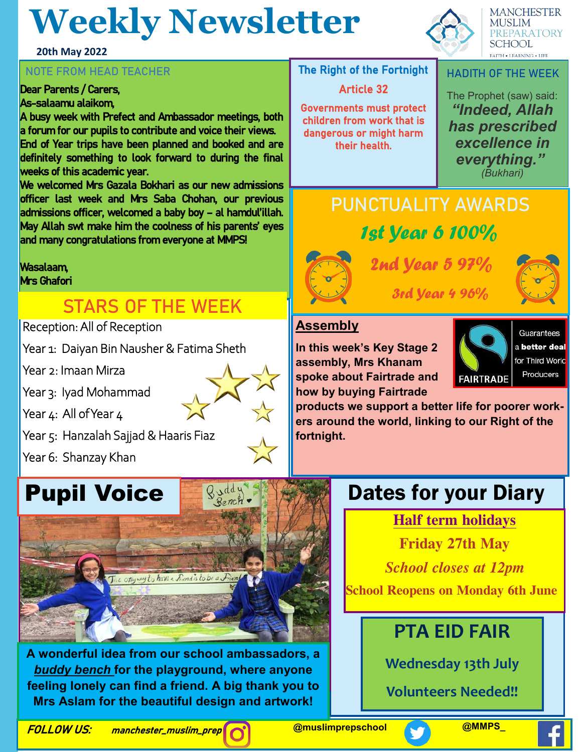# **Weekly Newsletter**

#### **20th May 2022**

#### **NOTE FROM HEAD TEACHER**

#### Dear Parents / Carers, As-salaamu alaikom,

A busy week with Prefect and Ambassador meetings, both a forum for our pupils to contribute and voice their views. End of Year trips have been planned and booked and are definitely something to look forward to during the final weeks of this academic year.

We welcomed Mrs Gazala Bokhari as our new admissions officer last week and Mrs Saba Chohan, our previous admissions officer, welcomed a baby boy – al hamdul'illah. May Allah swt make him the coolness of his parents' eyes and many congratulations from everyone at MMPS!

Wasalaam, Mrs Ghafori

### **STARS OF THE WEEK**

Reception: All of Reception

Year 1: Daiyan Bin Nausher & Fatima Sheth

Year 2: Imaan Mirza

Year 3: Iyad Mohammad

Year 4: All of Year 4

Year 5: Hanzalah Sajjad & Haaris Fiaz

Year 6: Shanzay Khan

# **Pupil Voice**



Quidy Bench

A WONGHIU<br>Leadalacha an **EXECT FOR THE PRAY CONDITY.** WHERE A FIGURE **ing diversity.** *Eesa*  **A wonderful idea from our school ambassadors, a**  *buddy bench* **for the playground, where anyone Mrs Aslam for the beautiful design and artwork!**

The Right of the Fortnight

#### Article 32

Governments must protect children from work that is dangerous or might harm their health.

**MANCHESTER MUSLIM PREPARATORY SCHOOL** 

**HADITH OF THE WEEK**

The Prophet (saw) said: *"Indeed, Allah has prescribed excellence in everything." (Bukhari)* 

### **PUNCTUALITY AWARDS** 1st Year 6 100%



## 2nd Year 5 97%



3rd Year 4 96%

### **Assembly**

**In this week's Key Stage 2 assembly, Mrs Khanam spoke about Fairtrade and how by buying Fairtrade** 



Guarantees a better deal for Third World Producers

**products we support a better life for poorer workers around the world, linking to our Right of the fortnight.** 

### Dates for your Diary

**Half term holidays**

**Friday 27th May** 

*School closes at 12pm* 

**School Reopens on Monday 6th June** 

### **PTA EID FAIR**

**Wednesday 13th July**

**Volunteers Needed!!**

**FOLLOW US:** manchester\_muslim\_prep